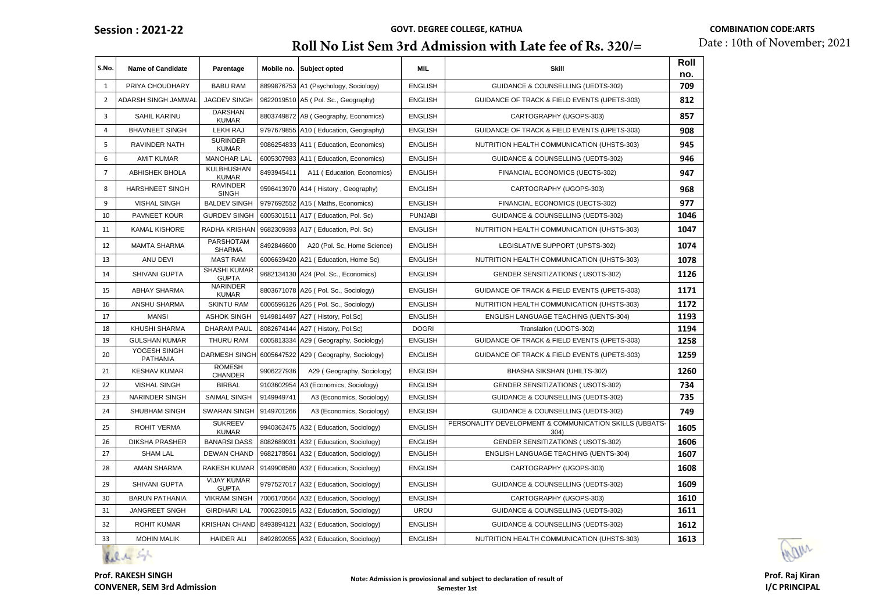### **Roll No List Sem 3rd Admission with Late fee of Rs. 320/=**

| S.No.          | <b>Name of Candidate</b>        | Parentage                           | Mobile no. | Subject opted                         | MIL            | <b>Skill</b>                                                    | Roll<br>no. |
|----------------|---------------------------------|-------------------------------------|------------|---------------------------------------|----------------|-----------------------------------------------------------------|-------------|
| $\mathbf{1}$   | PRIYA CHOUDHARY                 | <b>BABU RAM</b>                     |            | 8899876753 A1 (Psychology, Sociology) | <b>ENGLISH</b> | <b>GUIDANCE &amp; COUNSELLING (UEDTS-302)</b>                   | 709         |
| $\overline{2}$ | ADARSH SINGH JAMWAL             | JAGDEV SINGH                        |            | 9622019510 A5 ( Pol. Sc., Geography)  | <b>ENGLISH</b> | GUIDANCE OF TRACK & FIELD EVENTS (UPETS-303)                    | 812         |
| 3              | SAHIL KARINU                    | <b>DARSHAN</b><br><b>KUMAR</b>      | 8803749872 | A9 (Geography, Economics)             | <b>ENGLISH</b> | CARTOGRAPHY (UGOPS-303)                                         | 857         |
| $\overline{4}$ | <b>BHAVNEET SINGH</b>           | LEKH RAJ                            |            | 9797679855 A10 (Education, Geography) | <b>ENGLISH</b> | GUIDANCE OF TRACK & FIELD EVENTS (UPETS-303)                    | 908         |
| 5              | RAVINDER NATH                   | <b>SURINDER</b><br><b>KUMAR</b>     | 9086254833 | A11 (Education, Economics)            | <b>ENGLISH</b> | NUTRITION HEALTH COMMUNICATION (UHSTS-303)                      | 945         |
| 6              | <b>AMIT KUMAR</b>               | <b>MANOHAR LAL</b>                  |            | 6005307983 A11 (Education, Economics) | <b>ENGLISH</b> | <b>GUIDANCE &amp; COUNSELLING (UEDTS-302)</b>                   | 946         |
| $\overline{7}$ | <b>ABHISHEK BHOLA</b>           | <b>KULBHUSHAN</b><br><b>KUMAR</b>   | 8493945411 | A11 (Education, Economics)            | <b>ENGLISH</b> | FINANCIAL ECONOMICS (UECTS-302)                                 | 947         |
| 8              | <b>HARSHNEET SINGH</b>          | <b>RAVINDER</b><br><b>SINGH</b>     |            | 9596413970 A14 ( History, Geography)  | <b>ENGLISH</b> | CARTOGRAPHY (UGOPS-303)                                         | 968         |
| 9              | <b>VISHAL SINGH</b>             | <b>BALDEV SINGH</b>                 | 9797692552 | A15 (Maths, Economics)                | <b>ENGLISH</b> | FINANCIAL ECONOMICS (UECTS-302)                                 | 977         |
| 10             | PAVNEET KOUR                    | <b>GURDEV SINGH</b>                 | 6005301511 | A17 (Education, Pol. Sc)              | <b>PUNJABI</b> | GUIDANCE & COUNSELLING (UEDTS-302)                              | 1046        |
| 11             | <b>KAMAL KISHORE</b>            | RADHA KRISHAN                       |            | 9682309393 A17 (Education, Pol. Sc)   | <b>ENGLISH</b> | NUTRITION HEALTH COMMUNICATION (UHSTS-303)                      | 1047        |
| 12             | <b>MAMTA SHARMA</b>             | PARSHOTAM<br><b>SHARMA</b>          | 8492846600 | A20 (Pol. Sc, Home Science)           | <b>ENGLISH</b> | LEGISLATIVE SUPPORT (UPSTS-302)                                 | 1074        |
| 13             | ANU DEVI                        | <b>MAST RAM</b>                     | 6006639420 | A21 (Education, Home Sc)              | <b>ENGLISH</b> | NUTRITION HEALTH COMMUNICATION (UHSTS-303)                      | 1078        |
| 14             | SHIVANI GUPTA                   | <b>SHASHI KUMAR</b><br><b>GUPTA</b> |            | 9682134130 A24 (Pol. Sc., Economics)  | <b>ENGLISH</b> | <b>GENDER SENSITIZATIONS (USOTS-302)</b>                        | 1126        |
| 15             | <b>ABHAY SHARMA</b>             | NARINDER<br><b>KUMAR</b>            |            | 8803671078 A26 ( Pol. Sc., Sociology) | <b>ENGLISH</b> | GUIDANCE OF TRACK & FIELD EVENTS (UPETS-303)                    | 1171        |
| 16             | ANSHU SHARMA                    | <b>SKINTU RAM</b>                   |            | 6006596126 A26 ( Pol. Sc., Sociology) | <b>ENGLISH</b> | NUTRITION HEALTH COMMUNICATION (UHSTS-303)                      | 1172        |
| 17             | <b>MANSI</b>                    | <b>ASHOK SINGH</b>                  | 9149814497 | A27 (History, Pol.Sc)                 | <b>ENGLISH</b> | <b>ENGLISH LANGUAGE TEACHING (UENTS-304)</b>                    | 1193        |
| 18             | KHUSHI SHARMA                   | <b>DHARAM PAUL</b>                  | 8082674144 | A27 (History, Pol.Sc)                 | <b>DOGRI</b>   | Translation (UDGTS-302)                                         | 1194        |
| 19             | <b>GULSHAN KUMAR</b>            | THURU RAM                           | 6005813334 | A29 (Geography, Sociology)            | <b>ENGLISH</b> | GUIDANCE OF TRACK & FIELD EVENTS (UPETS-303)                    | 1258        |
| 20             | YOGESH SINGH<br><b>PATHANIA</b> | <b>DARMESH SINGH</b>                |            | 6005647522 A29 (Geography, Sociology) | <b>ENGLISH</b> | GUIDANCE OF TRACK & FIELD EVENTS (UPETS-303)                    | 1259        |
| 21             | <b>KESHAV KUMAR</b>             | <b>ROMESH</b><br><b>CHANDER</b>     | 9906227936 | A29 (Geography, Sociology)            | <b>ENGLISH</b> | BHASHA SIKSHAN (UHILTS-302)                                     | 1260        |
| 22             | <b>VISHAL SINGH</b>             | <b>BIRBAL</b>                       | 9103602954 | A3 (Economics, Sociology)             | <b>ENGLISH</b> | <b>GENDER SENSITIZATIONS (USOTS-302)</b>                        | 734         |
| 23             | <b>NARINDER SINGH</b>           | <b>SAIMAL SINGH</b>                 | 9149949741 | A3 (Economics, Sociology)             | <b>ENGLISH</b> | <b>GUIDANCE &amp; COUNSELLING (UEDTS-302)</b>                   | 735         |
| 24             | <b>SHUBHAM SINGH</b>            | <b>SWARAN SINGH</b>                 | 9149701266 | A3 (Economics, Sociology)             | <b>ENGLISH</b> | GUIDANCE & COUNSELLING (UEDTS-302)                              | 749         |
| 25             | ROHIT VERMA                     | <b>SUKREEV</b><br><b>KUMAR</b>      |            | 9940362475 A32 (Education, Sociology) | <b>ENGLISH</b> | PERSONALITY DEVELOPMENT & COMMUNICATION SKILLS (UBBATS-<br>304) | 1605        |
| 26             | <b>DIKSHA PRASHER</b>           | <b>BANARSI DASS</b>                 | 8082689031 | A32 (Education, Sociology)            | <b>ENGLISH</b> | <b>GENDER SENSITIZATIONS (USOTS-302)</b>                        | 1606        |
| 27             | <b>SHAM LAL</b>                 | <b>DEWAN CHAND</b>                  | 9682178561 | A32 (Education, Sociology)            | <b>ENGLISH</b> | ENGLISH LANGUAGE TEACHING (UENTS-304)                           | 1607        |
| 28             | <b>AMAN SHARMA</b>              | RAKESH KUMAR                        | 9149908580 | A32 (Education, Sociology)            | <b>ENGLISH</b> | CARTOGRAPHY (UGOPS-303)                                         | 1608        |
| 29             | <b>SHIVANI GUPTA</b>            | <b>VIJAY KUMAR</b><br><b>GUPTA</b>  | 9797527017 | A32 (Education, Sociology)            | <b>ENGLISH</b> | GUIDANCE & COUNSELLING (UEDTS-302)                              | 1609        |
| 30             | <b>BARUN PATHANIA</b>           | <b>VIKRAM SINGH</b>                 | 7006170564 | A32 (Education, Sociology)            | <b>ENGLISH</b> | CARTOGRAPHY (UGOPS-303)                                         | 1610        |
| 31             | <b>JANGREET SNGH</b>            | <b>GIRDHARI LAL</b>                 | 7006230915 | A32 (Education, Sociology)            | <b>URDU</b>    | GUIDANCE & COUNSELLING (UEDTS-302)                              | 1611        |
| 32             | ROHIT KUMAR                     | <b>KRISHAN CHAND</b>                | 8493894121 | A32 (Education, Sociology)            | <b>ENGLISH</b> | GUIDANCE & COUNSELLING (UEDTS-302)                              | 1612        |
| 33             | <b>MOHIN MALIK</b>              | <b>HAIDER ALI</b>                   |            | 8492892055 A32 (Education, Sociology) | <b>ENGLISH</b> | NUTRITION HEALTH COMMUNICATION (UHSTS-303)                      | 1613        |

Rolling Sight

ADM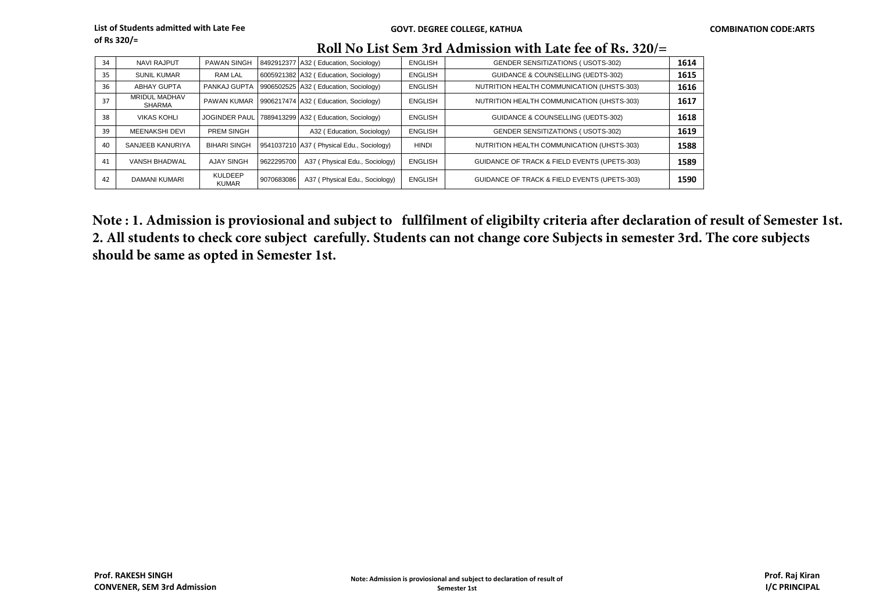| Roll No List Sem 3rd Admission with Late fee of Rs. 320/= |  |  |
|-----------------------------------------------------------|--|--|
|                                                           |  |  |

| 34 | <b>NAVI RAJPUT</b>                    | <b>PAWAN SINGH</b>             |            | 8492912377 A32 (Education, Sociology)      | <b>ENGLISH</b> | <b>GENDER SENSITIZATIONS (USOTS-302)</b>      | 1614 |
|----|---------------------------------------|--------------------------------|------------|--------------------------------------------|----------------|-----------------------------------------------|------|
| 35 | <b>SUNIL KUMAR</b>                    | <b>RAM LAL</b>                 |            | 6005921382 A32 (Education, Sociology)      | <b>ENGLISH</b> | <b>GUIDANCE &amp; COUNSELLING (UEDTS-302)</b> | 1615 |
| 36 | <b>ABHAY GUPTA</b>                    | PANKAJ GUPTA                   |            | 9906502525 A32 (Education, Sociology)      | <b>ENGLISH</b> | NUTRITION HEALTH COMMUNICATION (UHSTS-303)    | 1616 |
| 37 | <b>MRIDUL MADHAV</b><br><b>SHARMA</b> | PAWAN KUMAR                    |            | 9906217474 A32 (Education, Sociology)      | <b>ENGLISH</b> | NUTRITION HEALTH COMMUNICATION (UHSTS-303)    | 1617 |
| 38 | <b>VIKAS KOHLI</b>                    | <b>JOGINDER PAUL</b>           |            | 7889413299 A32 (Education, Sociology)      | <b>ENGLISH</b> | GUIDANCE & COUNSELLING (UEDTS-302)            | 1618 |
| 39 | <b>MEENAKSHI DEVI</b>                 | PREM SINGH                     |            | A32 (Education, Sociology)                 | <b>ENGLISH</b> | <b>GENDER SENSITIZATIONS (USOTS-302)</b>      | 1619 |
| 40 | SANJEEB KANURIYA                      | <b>BIHARI SINGH</b>            |            | 9541037210 A37 ( Physical Edu., Sociology) | <b>HINDI</b>   | NUTRITION HEALTH COMMUNICATION (UHSTS-303)    | 1588 |
| 41 | VANSH BHADWAL                         | <b>AJAY SINGH</b>              | 9622295700 | A37 (Physical Edu., Sociology)             | <b>ENGLISH</b> | GUIDANCE OF TRACK & FIELD EVENTS (UPETS-303)  | 1589 |
| 42 | DAMANI KUMARI                         | <b>KULDEEP</b><br><b>KUMAR</b> | 9070683086 | A37 (Physical Edu., Sociology)             | <b>ENGLISH</b> | GUIDANCE OF TRACK & FIELD EVENTS (UPETS-303)  | 1590 |

**Note : 1. Admission is proviosional and subject to fullfilment of eligibilty criteria after declaration of result of Semester 1st. 2. All students to check core subject carefully. Students can not change core Subjects in semester 3rd. The core subjects should be same as opted in Semester 1st.**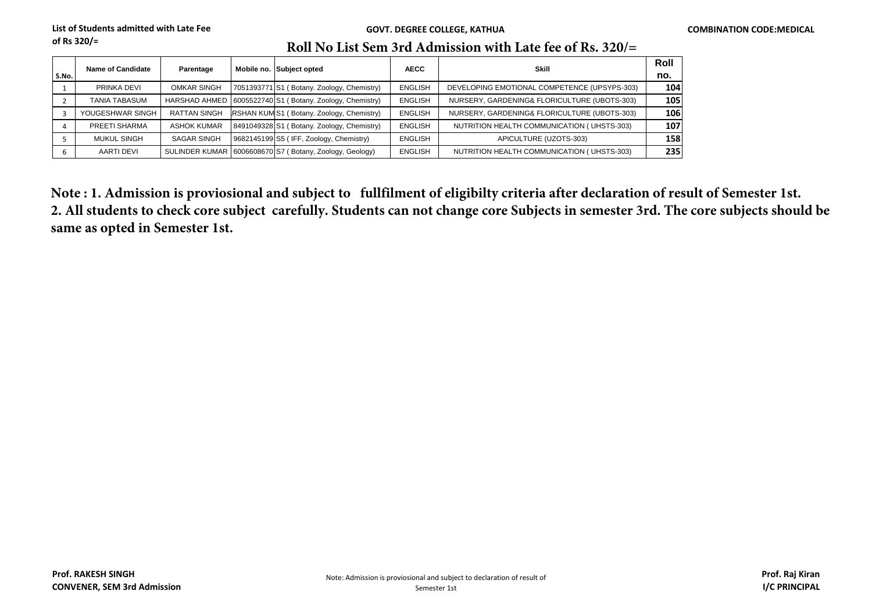## **Roll No List Sem 3rd Admission with Late fee of Rs. 320/=**

| S.No. | Name of Candidate    | Parentage           | Mobile no. Subject opted                                    | <b>AECC</b>    | <b>Skill</b>                                 | Roll<br>no. |
|-------|----------------------|---------------------|-------------------------------------------------------------|----------------|----------------------------------------------|-------------|
|       | PRINKA DEVI          | <b>OMKAR SINGH</b>  | 7051393771 S1 (Botany. Zoology, Chemistry)                  | <b>ENGLISH</b> | DEVELOPING EMOTIONAL COMPETENCE (UPSYPS-303) | 104         |
|       | <b>TANIA TABASUM</b> |                     | HARSHAD AHMED   6005522740 S1 ( Botany. Zoology, Chemistry) | <b>ENGLISH</b> | NURSERY, GARDENING& FLORICULTURE (UBOTS-303) | 105         |
|       | YOUGESHWAR SINGH     | <b>RATTAN SINGH</b> | RSHAN KUM S1 (Botany. Zoology, Chemistry)                   | <b>ENGLISH</b> | NURSERY, GARDENING& FLORICULTURE (UBOTS-303) | 106         |
|       | PREETI SHARMA        | <b>ASHOK KUMAR</b>  | 8491049328 S1 (Botany. Zoology, Chemistry)                  | <b>ENGLISH</b> | NUTRITION HEALTH COMMUNICATION (UHSTS-303)   | 107         |
|       | <b>MUKUL SINGH</b>   | <b>SAGAR SINGH</b>  | 9682145199 S5 (IFF, Zoology, Chemistry)                     | <b>ENGLISH</b> | APICULTURE (UZOTS-303)                       | 158         |
| b     | AARTI DEVI           |                     | SULINDER KUMAR 6006608670 S7 (Botany, Zoology, Geology)     | <b>ENGLISH</b> | NUTRITION HEALTH COMMUNICATION (UHSTS-303)   | 235         |

**Note : 1. Admission is proviosional and subject to fullfilment of eligibilty criteria after declaration of result of Semester 1st. 2. All students to check core subject carefully. Students can not change core Subjects in semester 3rd. The core subjects should be same as opted in Semester 1st.**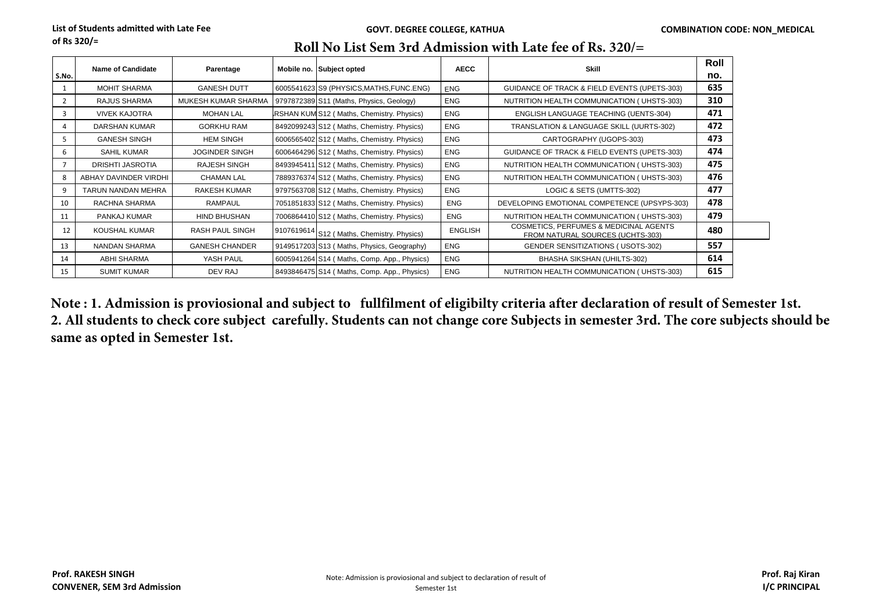| S.No. | Name of Candidate     | Parentage             | Mobile no. Subject opted                    | <b>AECC</b>    | Skill                                                                                 | Roll<br>no. |
|-------|-----------------------|-----------------------|---------------------------------------------|----------------|---------------------------------------------------------------------------------------|-------------|
|       | <b>MOHIT SHARMA</b>   | <b>GANESH DUTT</b>    | 6005541623 S9 (PHYSICS, MATHS, FUNC. ENG)   | ENG            | GUIDANCE OF TRACK & FIELD EVENTS (UPETS-303)                                          | 635         |
|       | RAJUS SHARMA          | MUKESH KUMAR SHARMA   | 9797872389 S11 (Maths, Physics, Geology)    | <b>ENG</b>     | NUTRITION HEALTH COMMUNICATION (UHSTS-303)                                            | 310         |
| 3     | <b>VIVEK KAJOTRA</b>  | <b>MOHAN LAL</b>      | RSHAN KUM S12 (Maths, Chemistry, Physics)   | ENG            | ENGLISH LANGUAGE TEACHING (UENTS-304)                                                 | 471         |
| 4     | DARSHAN KUMAR         | <b>GORKHU RAM</b>     | 8492099243 S12 (Maths, Chemistry. Physics)  | <b>ENG</b>     | TRANSLATION & LANGUAGE SKILL (UURTS-302)                                              | 472         |
|       | <b>GANESH SINGH</b>   | <b>HEM SINGH</b>      | 6006565402 S12 (Maths, Chemistry. Physics)  | <b>ENG</b>     | CARTOGRAPHY (UGOPS-303)                                                               | 473         |
| 6     | SAHIL KUMAR           | <b>JOGINDER SINGH</b> | 6006464296 S12 (Maths, Chemistry. Physics)  | <b>ENG</b>     | GUIDANCE OF TRACK & FIELD EVENTS (UPETS-303)                                          | 474         |
|       | DRISHTI JASROTIA      | <b>RAJESH SINGH</b>   | 8493945411 S12 (Maths, Chemistry. Physics)  | <b>ENG</b>     | NUTRITION HEALTH COMMUNICATION (UHSTS-303)                                            | 475         |
| 8     | ABHAY DAVINDER VIRDHI | <b>CHAMAN LAL</b>     | 7889376374 S12 (Maths, Chemistry. Physics)  | ENG            | NUTRITION HEALTH COMMUNICATION (UHSTS-303)                                            | 476         |
| 9     | TARUN NANDAN MEHRA    | <b>RAKESH KUMAR</b>   | 9797563708 S12 (Maths, Chemistry. Physics)  | <b>ENG</b>     | LOGIC & SETS (UMTTS-302)                                                              | 477         |
| 10    | RACHNA SHARMA         | RAMPAUL               | 7051851833 S12 (Maths, Chemistry. Physics)  | <b>ENG</b>     | DEVELOPING EMOTIONAL COMPETENCE (UPSYPS-303)                                          | 478         |
| 11    | PANKAJ KUMAR          | <b>HIND BHUSHAN</b>   | 7006864410 S12 (Maths, Chemistry. Physics)  | <b>ENG</b>     | NUTRITION HEALTH COMMUNICATION (UHSTS-303)                                            | 479         |
| 12    | KOUSHAL KUMAR         | RASH PAUL SINGH       | 9107619614 S12 (Maths, Chemistry. Physics)  | <b>ENGLISH</b> | <b>COSMETICS, PERFUMES &amp; MEDICINAL AGENTS</b><br>FROM NATURAL SOURCES (UCHTS-303) | 480         |
| 13    | NANDAN SHARMA         | <b>GANESH CHANDER</b> | 9149517203 S13 (Maths, Physics, Geography)  | <b>ENG</b>     | <b>GENDER SENSITIZATIONS (USOTS-302)</b>                                              | 557         |
| 14    | ABHI SHARMA           | YASH PAUL             | 6005941264 S14 (Maths, Comp. App., Physics) | <b>ENG</b>     | BHASHA SIKSHAN (UHILTS-302)                                                           | 614         |
| 15    | <b>SUMIT KUMAR</b>    | DEV RAJ               | 8493846475 S14 (Maths, Comp. App., Physics) | <b>ENG</b>     | NUTRITION HEALTH COMMUNICATION (UHSTS-303)                                            | 615         |

### **Roll No List Sem 3rd Admission with Late fee of Rs. 320/=**

**Note : 1. Admission is proviosional and subject to fullfilment of eligibilty criteria after declaration of result of Semester 1st. 2. All students to check core subject carefully. Students can not change core Subjects in semester 3rd. The core subjects should be same as opted in Semester 1st.**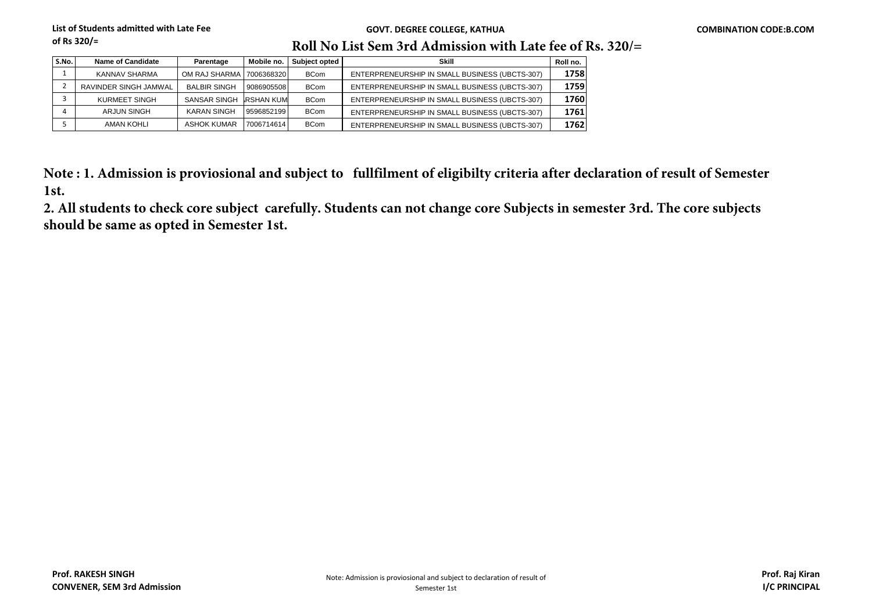#### **GOVT. DEGREE COLLEGE, KATHUA COMBINATION CODE:B.COM**

# **Roll No List Sem 3rd Admission with Late fee of Rs. 320/=**

| S.No. | Name of Candidate     | Parentage           | Mobile no.       | Subject opted | Skill                                          | Roll no. |
|-------|-----------------------|---------------------|------------------|---------------|------------------------------------------------|----------|
|       | KANNAV SHARMA         | OM RAJ SHARMA I     | 7006368320       | <b>BCom</b>   | ENTERPRENEURSHIP IN SMALL BUSINESS (UBCTS-307) | 1758     |
|       | RAVINDER SINGH JAMWAL | <b>BALBIR SINGH</b> | 9086905508       | <b>BCom</b>   | ENTERPRENEURSHIP IN SMALL BUSINESS (UBCTS-307) | 1759     |
|       | <b>KURMEET SINGH</b>  | <b>SANSAR SINGH</b> | <b>RSHAN KUM</b> | <b>BCom</b>   | ENTERPRENEURSHIP IN SMALL BUSINESS (UBCTS-307) | 1760     |
|       | <b>ARJUN SINGH</b>    | <b>KARAN SINGH</b>  | 9596852199       | <b>BCom</b>   | ENTERPRENEURSHIP IN SMALL BUSINESS (UBCTS-307) | 1761     |
|       | <b>AMAN KOHLI</b>     | <b>ASHOK KUMAR</b>  | 7006714614       | <b>BCom</b>   | ENTERPRENEURSHIP IN SMALL BUSINESS (UBCTS-307) | 1762     |

**Note : 1. Admission is proviosional and subject to fullfilment of eligibilty criteria after declaration of result of Semester 1st.**

**2. All students to check core subject carefully. Students can not change core Subjects in semester 3rd. The core subjects should be same as opted in Semester 1st.**